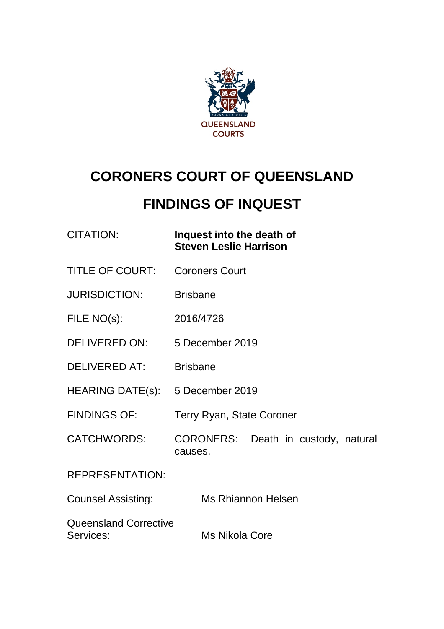

# **CORONERS COURT OF QUEENSLAND**

# **FINDINGS OF INQUEST**

| CITATION: | Inquest into the death of     |
|-----------|-------------------------------|
|           | <b>Steven Leslie Harrison</b> |

- TITLE OF COURT: Coroners Court
- JURISDICTION: Brisbane
- FILE NO(s): 2016/4726
- DELIVERED ON: 5 December 2019
- DELIVERED AT: Brisbane
- HEARING DATE(s): 5 December 2019
- FINDINGS OF: Terry Ryan, State Coroner
- CATCHWORDS: CORONERS: Death in custody, natural causes.

REPRESENTATION:

Counsel Assisting: Ms Rhiannon Helsen

Queensland Corrective Services: Ms Nikola Core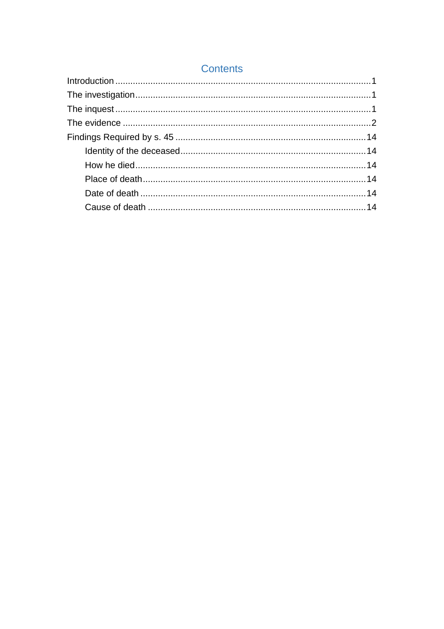## **Contents**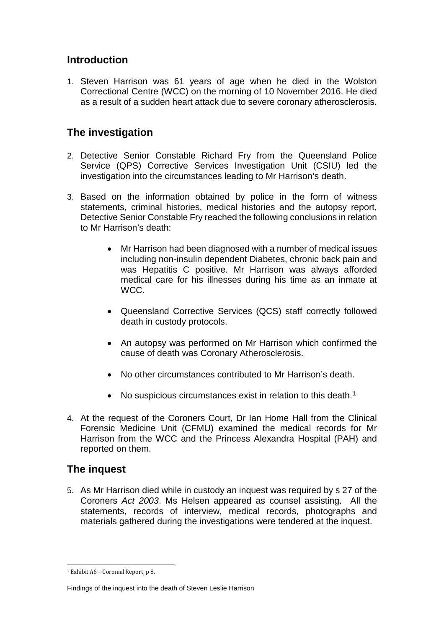## <span id="page-2-0"></span>**Introduction**

1. Steven Harrison was 61 years of age when he died in the Wolston Correctional Centre (WCC) on the morning of 10 November 2016. He died as a result of a sudden heart attack due to severe coronary atherosclerosis.

# <span id="page-2-1"></span>**The investigation**

- 2. Detective Senior Constable Richard Fry from the Queensland Police Service (QPS) Corrective Services Investigation Unit (CSIU) led the investigation into the circumstances leading to Mr Harrison's death.
- 3. Based on the information obtained by police in the form of witness statements, criminal histories, medical histories and the autopsy report, Detective Senior Constable Fry reached the following conclusions in relation to Mr Harrison's death:
	- Mr Harrison had been diagnosed with a number of medical issues including non-insulin dependent Diabetes, chronic back pain and was Hepatitis C positive. Mr Harrison was always afforded medical care for his illnesses during his time as an inmate at WCC.
	- Queensland Corrective Services (QCS) staff correctly followed death in custody protocols.
	- An autopsy was performed on Mr Harrison which confirmed the cause of death was Coronary Atherosclerosis.
	- No other circumstances contributed to Mr Harrison's death.
	- No suspicious circumstances exist in relation to this death.<sup>[1](#page-2-3)</sup>
- 4. At the request of the Coroners Court, Dr Ian Home Hall from the Clinical Forensic Medicine Unit (CFMU) examined the medical records for Mr Harrison from the WCC and the Princess Alexandra Hospital (PAH) and reported on them.

## <span id="page-2-2"></span>**The inquest**

5. As Mr Harrison died while in custody an inquest was required by s 27 of the Coroners *Act 2003*. Ms Helsen appeared as counsel assisting. All the statements, records of interview, medical records, photographs and materials gathered during the investigations were tendered at the inquest.

<span id="page-2-3"></span><sup>1</sup> Exhibit A6 – Coronial Report, p 8. j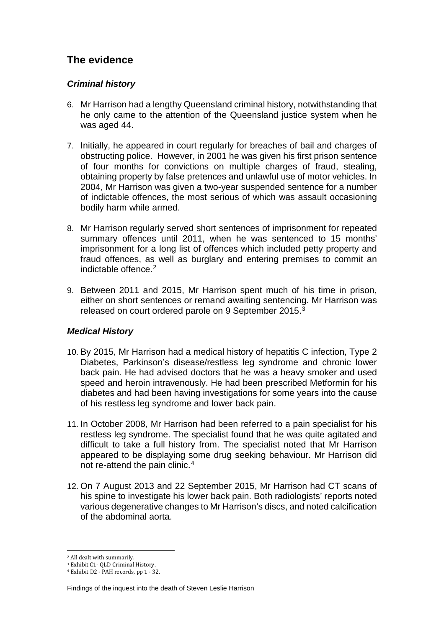# <span id="page-3-0"></span>**The evidence**

### *Criminal history*

- 6. Mr Harrison had a lengthy Queensland criminal history, notwithstanding that he only came to the attention of the Queensland justice system when he was aged 44.
- 7. Initially, he appeared in court regularly for breaches of bail and charges of obstructing police. However, in 2001 he was given his first prison sentence of four months for convictions on multiple charges of fraud, stealing, obtaining property by false pretences and unlawful use of motor vehicles. In 2004, Mr Harrison was given a two-year suspended sentence for a number of indictable offences, the most serious of which was assault occasioning bodily harm while armed.
- 8. Mr Harrison regularly served short sentences of imprisonment for repeated summary offences until 2011, when he was sentenced to 15 months' imprisonment for a long list of offences which included petty property and fraud offences, as well as burglary and entering premises to commit an indictable offence.<sup>[2](#page-3-1)</sup>
- 9. Between 2011 and 2015, Mr Harrison spent much of his time in prison, either on short sentences or remand awaiting sentencing. Mr Harrison was released on court ordered parole on 9 September 2015.[3](#page-3-2)

### *Medical History*

- 10. By 2015, Mr Harrison had a medical history of hepatitis C infection, Type 2 Diabetes, Parkinson's disease/restless leg syndrome and chronic lower back pain. He had advised doctors that he was a heavy smoker and used speed and heroin intravenously. He had been prescribed Metformin for his diabetes and had been having investigations for some years into the cause of his restless leg syndrome and lower back pain.
- 11. In October 2008, Mr Harrison had been referred to a pain specialist for his restless leg syndrome. The specialist found that he was quite agitated and difficult to take a full history from. The specialist noted that Mr Harrison appeared to be displaying some drug seeking behaviour. Mr Harrison did not re-attend the pain clinic.[4](#page-3-3)
- 12. On 7 August 2013 and 22 September 2015, Mr Harrison had CT scans of his spine to investigate his lower back pain. Both radiologists' reports noted various degenerative changes to Mr Harrison's discs, and noted calcification of the abdominal aorta.

<sup>2</sup> All dealt with summarily.  $\overline{a}$ 

<span id="page-3-2"></span><span id="page-3-1"></span><sup>3</sup> Exhibit C1- QLD Criminal History.

<span id="page-3-3"></span><sup>4</sup> Exhibit D2 - PAH records, pp 1 - 32.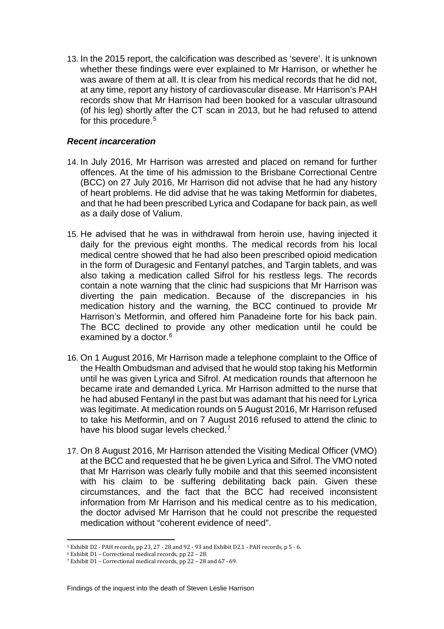13. In the 2015 report, the calcification was described as 'severe'. It is unknown whether these findings were ever explained to Mr Harrison, or whether he was aware of them at all. It is clear from his medical records that he did not, at any time, report any history of cardiovascular disease. Mr Harrison's PAH records show that Mr Harrison had been booked for a vascular ultrasound (of his leg) shortly after the CT scan in 2013, but he had refused to attend for this procedure.<sup>[5](#page-4-0)</sup>

#### *Recent incarceration*

- 14. In July 2016, Mr Harrison was arrested and placed on remand for further offences. At the time of his admission to the Brisbane Correctional Centre (BCC) on 27 July 2016, Mr Harrison did not advise that he had any history of heart problems. He did advise that he was taking Metformin for diabetes, and that he had been prescribed Lyrica and Codapane for back pain, as well as a daily dose of Valium.
- 15. He advised that he was in withdrawal from heroin use, having injected it daily for the previous eight months. The medical records from his local medical centre showed that he had also been prescribed opioid medication in the form of Duragesic and Fentanyl patches, and Targin tablets, and was also taking a medication called Sifrol for his restless legs. The records contain a note warning that the clinic had suspicions that Mr Harrison was diverting the pain medication. Because of the discrepancies in his medication history and the warning, the BCC continued to provide Mr Harrison's Metformin, and offered him Panadeine forte for his back pain. The BCC declined to provide any other medication until he could be examined by a doctor.<sup>6</sup>
- 16. On 1 August 2016, Mr Harrison made a telephone complaint to the Office of the Health Ombudsman and advised that he would stop taking his Metformin until he was given Lyrica and Sifrol. At medication rounds that afternoon he became irate and demanded Lyrica. Mr Harrison admitted to the nurse that he had abused Fentanyl in the past but was adamant that his need for Lyrica was legitimate. At medication rounds on 5 August 2016, Mr Harrison refused to take his Metformin, and on 7 August 2016 refused to attend the clinic to have his blood sugar levels checked.<sup>[7](#page-4-2)</sup>
- 17. On 8 August 2016, Mr Harrison attended the Visiting Medical Officer (VMO) at the BCC and requested that he be given Lyrica and Sifrol. The VMO noted that Mr Harrison was clearly fully mobile and that this seemed inconsistent with his claim to be suffering debilitating back pain. Given these circumstances, and the fact that the BCC had received inconsistent information from Mr Harrison and his medical centre as to his medication, the doctor advised Mr Harrison that he could not prescribe the requested medication without "coherent evidence of need".

 $^{\circ}$  Exhibit D2 - PAH records, pp 23, 27 - 28 and 92 - 93 and Exhibit D2.1 - PAH records, p 5 - 6. j

<span id="page-4-1"></span><span id="page-4-0"></span><sup>6</sup> Exhibit D1 – Correctional medical records, pp 22 – 28.

<span id="page-4-2"></span><sup>7</sup> Exhibit D1 – Correctional medical records, pp 22 – 28 and 67 - 69.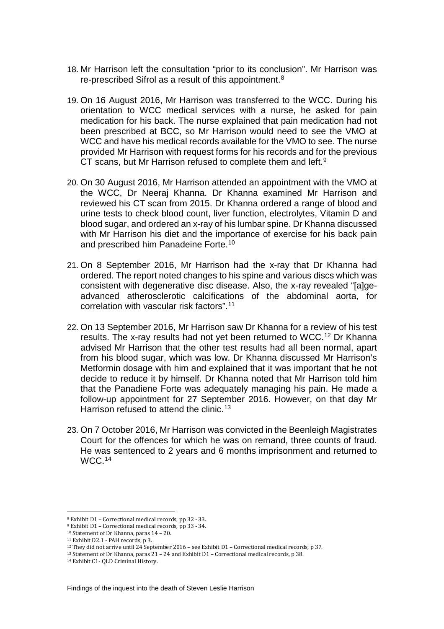- 18. Mr Harrison left the consultation "prior to its conclusion". Mr Harrison was re-prescribed Sifrol as a result of this appointment[.8](#page-5-0)
- 19. On 16 August 2016, Mr Harrison was transferred to the WCC. During his orientation to WCC medical services with a nurse, he asked for pain medication for his back. The nurse explained that pain medication had not been prescribed at BCC, so Mr Harrison would need to see the VMO at WCC and have his medical records available for the VMO to see. The nurse provided Mr Harrison with request forms for his records and for the previous CT scans, but Mr Harrison refused to complete them and left.<sup>[9](#page-5-1)</sup>
- 20. On 30 August 2016, Mr Harrison attended an appointment with the VMO at the WCC, Dr Neeraj Khanna. Dr Khanna examined Mr Harrison and reviewed his CT scan from 2015. Dr Khanna ordered a range of blood and urine tests to check blood count, liver function, electrolytes, Vitamin D and blood sugar, and ordered an x-ray of his lumbar spine. Dr Khanna discussed with Mr Harrison his diet and the importance of exercise for his back pain and prescribed him Panadeine Forte.[10](#page-5-2)
- 21. On 8 September 2016, Mr Harrison had the x-ray that Dr Khanna had ordered. The report noted changes to his spine and various discs which was consistent with degenerative disc disease. Also, the x-ray revealed "[a]geadvanced atherosclerotic calcifications of the abdominal aorta, for correlation with vascular risk factors".[11](#page-5-3)
- 22. On 13 September 2016, Mr Harrison saw Dr Khanna for a review of his test results. The x-ray results had not yet been returned to WCC.[12](#page-5-4) Dr Khanna advised Mr Harrison that the other test results had all been normal, apart from his blood sugar, which was low. Dr Khanna discussed Mr Harrison's Metformin dosage with him and explained that it was important that he not decide to reduce it by himself. Dr Khanna noted that Mr Harrison told him that the Panadiene Forte was adequately managing his pain. He made a follow-up appointment for 27 September 2016. However, on that day Mr Harrison refused to attend the clinic.<sup>[13](#page-5-5)</sup>
- 23. On 7 October 2016, Mr Harrison was convicted in the Beenleigh Magistrates Court for the offences for which he was on remand, three counts of fraud. He was sentenced to 2 years and 6 months imprisonment and returned to WCC[.14](#page-5-6)

<sup>8</sup> Exhibit D1 – Correctional medical records, pp 32 - 33. į

<span id="page-5-1"></span><span id="page-5-0"></span><sup>9</sup> Exhibit D1 – Correctional medical records, pp 33 - 34.

<span id="page-5-2"></span><sup>10</sup> Statement of Dr Khanna, paras 14 – 20.

<span id="page-5-4"></span><span id="page-5-3"></span><sup>&</sup>lt;sup>11</sup> Exhibit D2.1 - PAH records, p 3.<br><sup>12</sup> They did not arrive until 24 September 2016 – see Exhibit D1 – Correctional medical records, p 37.

<span id="page-5-5"></span><sup>&</sup>lt;sup>13</sup> Statement of Dr Khanna, paras 21 – 24 and Exhibit D1 – Correctional medical records, p 38.

<span id="page-5-6"></span><sup>14</sup> Exhibit C1- QLD Criminal History.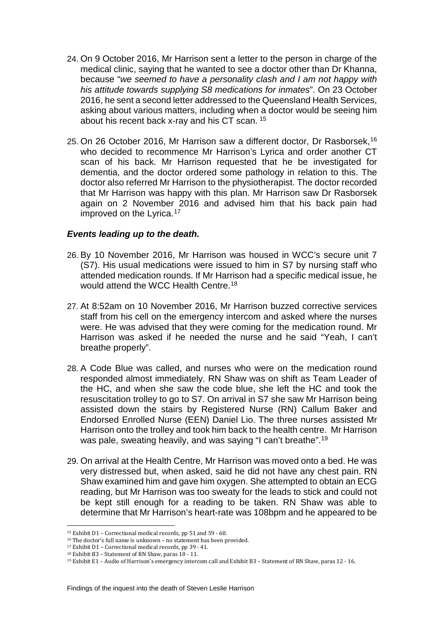- 24. On 9 October 2016, Mr Harrison sent a letter to the person in charge of the medical clinic, saying that he wanted to see a doctor other than Dr Khanna, because "*we seemed to have a personality clash and I am not happy with his attitude towards supplying S8 medications for inmates*". On 23 October 2016, he sent a second letter addressed to the Queensland Health Services, asking about various matters, including when a doctor would be seeing him about his recent back x-ray and his CT scan. [15](#page-6-0)
- 25. On 26 October 2016, Mr Harrison saw a different doctor, Dr Rasborsek,[16](#page-6-1) who decided to recommence Mr Harrison's Lyrica and order another CT scan of his back. Mr Harrison requested that he be investigated for dementia, and the doctor ordered some pathology in relation to this. The doctor also referred Mr Harrison to the physiotherapist. The doctor recorded that Mr Harrison was happy with this plan. Mr Harrison saw Dr Rasborsek again on 2 November 2016 and advised him that his back pain had improved on the Lyrica.<sup>[17](#page-6-2)</sup>

#### *Events leading up to the death.*

- 26. By 10 November 2016, Mr Harrison was housed in WCC's secure unit 7 (S7). His usual medications were issued to him in S7 by nursing staff who attended medication rounds. If Mr Harrison had a specific medical issue, he would attend the WCC Health Centre. [18](#page-6-3)
- 27. At 8:52am on 10 November 2016, Mr Harrison buzzed corrective services staff from his cell on the emergency intercom and asked where the nurses were. He was advised that they were coming for the medication round. Mr Harrison was asked if he needed the nurse and he said "Yeah, I can't breathe properly".
- 28. A Code Blue was called, and nurses who were on the medication round responded almost immediately. RN Shaw was on shift as Team Leader of the HC, and when she saw the code blue, she left the HC and took the resuscitation trolley to go to S7. On arrival in S7 she saw Mr Harrison being assisted down the stairs by Registered Nurse (RN) Callum Baker and Endorsed Enrolled Nurse (EEN) Daniel Lio. The three nurses assisted Mr Harrison onto the trolley and took him back to the health centre. Mr Harrison was pale, sweating heavily, and was saying "I can't breathe".<sup>[19](#page-6-4)</sup>
- 29. On arrival at the Health Centre, Mr Harrison was moved onto a bed. He was very distressed but, when asked, said he did not have any chest pain. RN Shaw examined him and gave him oxygen. She attempted to obtain an ECG reading, but Mr Harrison was too sweaty for the leads to stick and could not be kept still enough for a reading to be taken. RN Shaw was able to determine that Mr Harrison's heart-rate was 108bpm and he appeared to be

<sup>15</sup> Exhibit D1 – Correctional medical records, pp 51 and 59 - 60.  $\overline{\phantom{a}}$ 

<span id="page-6-1"></span><span id="page-6-0"></span><sup>16</sup> The doctor's full name is unknown – no statement has been provided.

<span id="page-6-2"></span><sup>17</sup> Exhibit D1 – Correctional medical records, pp 39 - 41.

<span id="page-6-3"></span><sup>18</sup> Exhibit B3 – Statement of RN Shaw, paras 10 - 11.

<span id="page-6-4"></span><sup>19</sup> Exhibit E1 – Audio of Harrison's emergency intercom call and Exhibit B3 – Statement of RN Shaw, paras 12 - 16.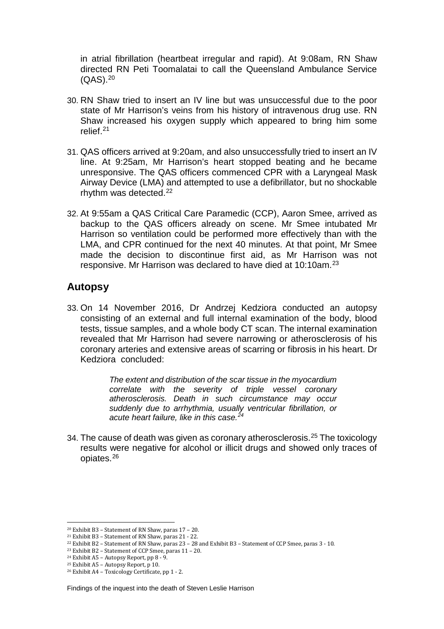in atrial fibrillation (heartbeat irregular and rapid). At 9:08am, RN Shaw directed RN Peti Toomalatai to call the Queensland Ambulance Service (QAS).[20](#page-7-0)

- 30. RN Shaw tried to insert an IV line but was unsuccessful due to the poor state of Mr Harrison's veins from his history of intravenous drug use. RN Shaw increased his oxygen supply which appeared to bring him some relief.[21](#page-7-1)
- 31. QAS officers arrived at 9:20am, and also unsuccessfully tried to insert an IV line. At 9:25am, Mr Harrison's heart stopped beating and he became unresponsive. The QAS officers commenced CPR with a Laryngeal Mask Airway Device (LMA) and attempted to use a defibrillator, but no shockable rhythm was detected[.22](#page-7-2)
- 32. At 9:55am a QAS Critical Care Paramedic (CCP), Aaron Smee, arrived as backup to the QAS officers already on scene. Mr Smee intubated Mr Harrison so ventilation could be performed more effectively than with the LMA, and CPR continued for the next 40 minutes. At that point, Mr Smee made the decision to discontinue first aid, as Mr Harrison was not responsive. Mr Harrison was declared to have died at 10:10am.[23](#page-7-3)

## **Autopsy**

33. On 14 November 2016, Dr Andrzej Kedziora conducted an autopsy consisting of an external and full internal examination of the body, blood tests, tissue samples, and a whole body CT scan. The internal examination revealed that Mr Harrison had severe narrowing or atherosclerosis of his coronary arteries and extensive areas of scarring or fibrosis in his heart. Dr Kedziora concluded:

> *The extent and distribution of the scar tissue in the myocardium correlate with the severity of triple vessel coronary atherosclerosis. Death in such circumstance may occur suddenly due to arrhythmia, usually ventricular fibrillation, or acute heart failure, like in this case.[24](#page-7-4)*

34. The cause of death was given as coronary atherosclerosis.<sup>[25](#page-7-5)</sup> The toxicology results were negative for alcohol or illicit drugs and showed only traces of opiates.[26](#page-7-6)

Findings of the inquest into the death of Steven Leslie Harrison

<sup>20</sup> Exhibit B3 – Statement of RN Shaw, paras 17 – 20. l

<span id="page-7-1"></span><span id="page-7-0"></span><sup>21</sup> Exhibit B3 – Statement of RN Shaw, paras 21 - 22.

<span id="page-7-2"></span><sup>22</sup> Exhibit B2 – Statement of RN Shaw, paras 23 – 28 and Exhibit B3 – Statement of CCP Smee, paras 3 - 10.

<span id="page-7-3"></span><sup>23</sup> Exhibit B2 – Statement of CCP Smee, paras 11 – 20.

<span id="page-7-4"></span><sup>24</sup> Exhibit A5 – Autopsy Report, pp 8 - 9.

<sup>25</sup> Exhibit A5 – Autopsy Report, p 10.

<span id="page-7-6"></span><span id="page-7-5"></span><sup>26</sup> Exhibit A4 – Toxicology Certificate, pp 1 - 2.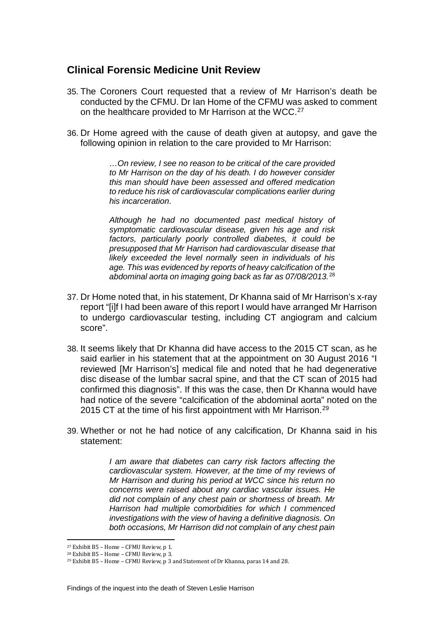## **Clinical Forensic Medicine Unit Review**

- 35. The Coroners Court requested that a review of Mr Harrison's death be conducted by the CFMU. Dr Ian Home of the CFMU was asked to comment on the healthcare provided to Mr Harrison at the WCC.<sup>[27](#page-8-0)</sup>
- 36. Dr Home agreed with the cause of death given at autopsy, and gave the following opinion in relation to the care provided to Mr Harrison:

*…On review, I see no reason to be critical of the care provided to Mr Harrison on the day of his death. I do however consider this man should have been assessed and offered medication to reduce his risk of cardiovascular complications earlier during his incarceration*.

*Although he had no documented past medical history of symptomatic cardiovascular disease, given his age and risk factors, particularly poorly controlled diabetes, it could be presupposed that Mr Harrison had cardiovascular disease that likely exceeded the level normally seen in individuals of his age. This was evidenced by reports of heavy calcification of the abdominal aorta on imaging going back as far as 07/08/2013.*[28](#page-8-1)

- 37. Dr Home noted that, in his statement, Dr Khanna said of Mr Harrison's x-ray report "[i]f I had been aware of this report I would have arranged Mr Harrison to undergo cardiovascular testing, including CT angiogram and calcium score".
- 38. It seems likely that Dr Khanna did have access to the 2015 CT scan, as he said earlier in his statement that at the appointment on 30 August 2016 "I reviewed [Mr Harrison's] medical file and noted that he had degenerative disc disease of the lumbar sacral spine, and that the CT scan of 2015 had confirmed this diagnosis". If this was the case, then Dr Khanna would have had notice of the severe "calcification of the abdominal aorta" noted on the 2015 CT at the time of his first appointment with Mr Harrison.<sup>[29](#page-8-2)</sup>
- 39. Whether or not he had notice of any calcification, Dr Khanna said in his statement:

*I am aware that diabetes can carry risk factors affecting the cardiovascular system. However, at the time of my reviews of Mr Harrison and during his period at WCC since his return no concerns were raised about any cardiac vascular issues. He did not complain of any chest pain or shortness of breath. Mr Harrison had multiple comorbidities for which I commenced investigations with the view of having a definitive diagnosis. On both occasions, Mr Harrison did not complain of any chest pain* 

<sup>27</sup> Exhibit B5 – Home – CFMU Review, p 1. į

<span id="page-8-1"></span><span id="page-8-0"></span><sup>28</sup> Exhibit B5 – Home – CFMU Review, p 3.

<span id="page-8-2"></span><sup>29</sup> Exhibit B5 – Home – CFMU Review, p 3 and Statement of Dr Khanna, paras 14 and 28.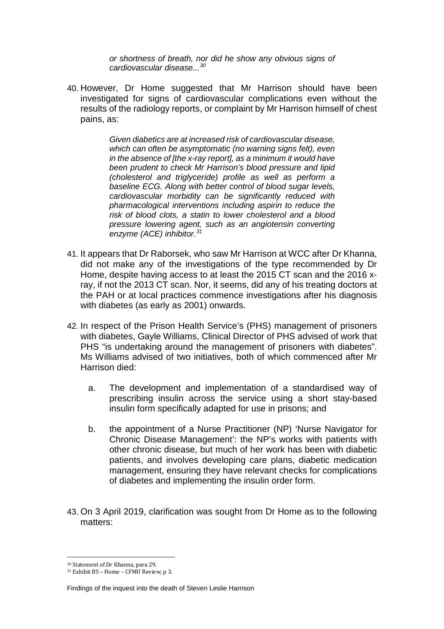*or shortness of breath, nor did he show any obvious signs of cardiovascular disease...[30](#page-9-0)*

40. However, Dr Home suggested that Mr Harrison should have been investigated for signs of cardiovascular complications even without the results of the radiology reports, or complaint by Mr Harrison himself of chest pains, as:

> *Given diabetics are at increased risk of cardiovascular disease, which can often be asymptomatic (no warning signs felt), even in the absence of [the x-ray report], as a minimum it would have been prudent to check Mr Harrison's blood pressure and lipid (cholesterol and triglyceride) profile as well as perform a baseline ECG. Along with better control of blood sugar levels, cardiovascular morbidity can be significantly reduced with pharmacological interventions including aspirin to reduce the risk of blood clots, a statin to lower cholesterol and a blood pressure lowering agent, such as an angiotensin converting enzyme (ACE) inhibitor.[31](#page-9-1)*

- 41. It appears that Dr Raborsek, who saw Mr Harrison at WCC after Dr Khanna, did not make any of the investigations of the type recommended by Dr Home, despite having access to at least the 2015 CT scan and the 2016 xray, if not the 2013 CT scan. Nor, it seems, did any of his treating doctors at the PAH or at local practices commence investigations after his diagnosis with diabetes (as early as 2001) onwards.
- 42. In respect of the Prison Health Service's (PHS) management of prisoners with diabetes, Gayle Williams, Clinical Director of PHS advised of work that PHS "is undertaking around the management of prisoners with diabetes". Ms Williams advised of two initiatives, both of which commenced after Mr Harrison died:
	- a. The development and implementation of a standardised way of prescribing insulin across the service using a short stay-based insulin form specifically adapted for use in prisons; and
	- b. the appointment of a Nurse Practitioner (NP) 'Nurse Navigator for Chronic Disease Management': the NP's works with patients with other chronic disease, but much of her work has been with diabetic patients, and involves developing care plans, diabetic medication management, ensuring they have relevant checks for complications of diabetes and implementing the insulin order form.
- 43. On 3 April 2019, clarification was sought from Dr Home as to the following matters:

<sup>30</sup> Statement of Dr Khanna, para 29.  $\overline{a}$ 

<span id="page-9-1"></span><span id="page-9-0"></span><sup>31</sup> Exhibit B5 – Home – CFMU Review, p 3.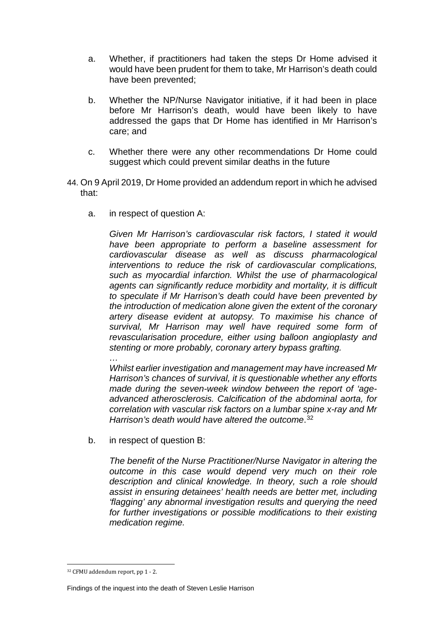- a. Whether, if practitioners had taken the steps Dr Home advised it would have been prudent for them to take, Mr Harrison's death could have been prevented;
- b. Whether the NP/Nurse Navigator initiative, if it had been in place before Mr Harrison's death, would have been likely to have addressed the gaps that Dr Home has identified in Mr Harrison's care; and
- c. Whether there were any other recommendations Dr Home could suggest which could prevent similar deaths in the future
- 44. On 9 April 2019, Dr Home provided an addendum report in which he advised that:
	- a. in respect of question A:

*Given Mr Harrison's cardiovascular risk factors, I stated it would have been appropriate to perform a baseline assessment for cardiovascular disease as well as discuss pharmacological interventions to reduce the risk of cardiovascular complications, such as myocardial infarction. Whilst the use of pharmacological agents can significantly reduce morbidity and mortality, it is difficult to speculate if Mr Harrison's death could have been prevented by the introduction of medication alone given the extent of the coronary artery disease evident at autopsy. To maximise his chance of survival, Mr Harrison may well have required some form of revascularisation procedure, either using balloon angioplasty and stenting or more probably, coronary artery bypass grafting.*

*… Whilst earlier investigation and management may have increased Mr Harrison's chances of survival, it is questionable whether any efforts made during the seven-week window between the report of 'ageadvanced atherosclerosis. Calcification of the abdominal aorta, for correlation with vascular risk factors on a lumbar spine x-ray and Mr*  Harrison's death would have altered the outcome.<sup>[32](#page-10-0)</sup>

b. in respect of question B:

*The benefit of the Nurse Practitioner/Nurse Navigator in altering the outcome in this case would depend very much on their role description and clinical knowledge. In theory, such a role should assist in ensuring detainees' health needs are better met, including 'flagging' any abnormal investigation results and querying the need for further investigations or possible modifications to their existing medication regime.*

<span id="page-10-0"></span><sup>32</sup> CFMU addendum report, pp 1 - 2. j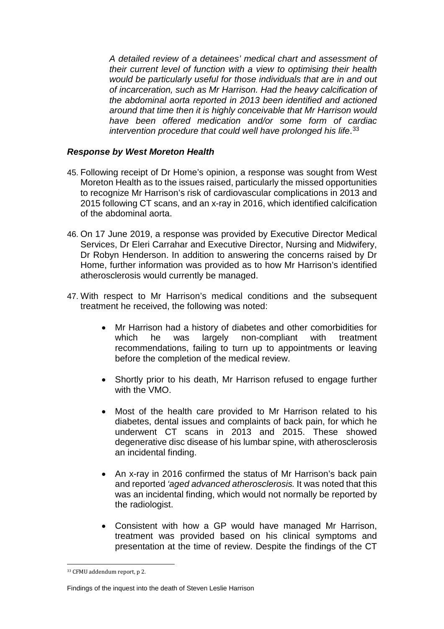*A detailed review of a detainees' medical chart and assessment of their current level of function with a view to optimising their health would be particularly useful for those individuals that are in and out of incarceration, such as Mr Harrison. Had the heavy calcification of the abdominal aorta reported in 2013 been identified and actioned around that time then it is highly conceivable that Mr Harrison would have been offered medication and/or some form of cardiac*  intervention procedure that could well have prolonged his life.<sup>[33](#page-11-0)</sup>

#### *Response by West Moreton Health*

- 45. Following receipt of Dr Home's opinion, a response was sought from West Moreton Health as to the issues raised, particularly the missed opportunities to recognize Mr Harrison's risk of cardiovascular complications in 2013 and 2015 following CT scans, and an x-ray in 2016, which identified calcification of the abdominal aorta.
- 46. On 17 June 2019, a response was provided by Executive Director Medical Services, Dr Eleri Carrahar and Executive Director, Nursing and Midwifery, Dr Robyn Henderson. In addition to answering the concerns raised by Dr Home, further information was provided as to how Mr Harrison's identified atherosclerosis would currently be managed.
- 47. With respect to Mr Harrison's medical conditions and the subsequent treatment he received, the following was noted:
	- Mr Harrison had a history of diabetes and other comorbidities for which he was largely non-compliant with treatment recommendations, failing to turn up to appointments or leaving before the completion of the medical review.
	- Shortly prior to his death, Mr Harrison refused to engage further with the VMO.
	- Most of the health care provided to Mr Harrison related to his diabetes, dental issues and complaints of back pain, for which he underwent CT scans in 2013 and 2015. These showed degenerative disc disease of his lumbar spine, with atherosclerosis an incidental finding.
	- An x-ray in 2016 confirmed the status of Mr Harrison's back pain and reported *'aged advanced atherosclerosis.* It was noted that this was an incidental finding, which would not normally be reported by the radiologist.
	- Consistent with how a GP would have managed Mr Harrison, treatment was provided based on his clinical symptoms and presentation at the time of review. Despite the findings of the CT

<span id="page-11-0"></span><sup>33</sup> CFMU addendum report, p 2. j

Findings of the inquest into the death of Steven Leslie Harrison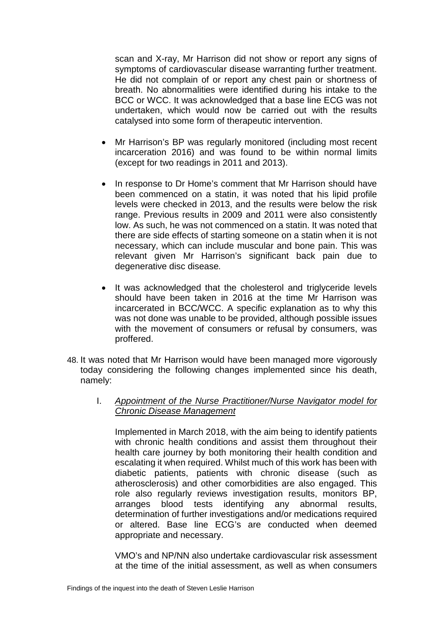scan and X-ray, Mr Harrison did not show or report any signs of symptoms of cardiovascular disease warranting further treatment. He did not complain of or report any chest pain or shortness of breath. No abnormalities were identified during his intake to the BCC or WCC. It was acknowledged that a base line ECG was not undertaken, which would now be carried out with the results catalysed into some form of therapeutic intervention.

- Mr Harrison's BP was regularly monitored (including most recent incarceration 2016) and was found to be within normal limits (except for two readings in 2011 and 2013).
- In response to Dr Home's comment that Mr Harrison should have been commenced on a statin, it was noted that his lipid profile levels were checked in 2013, and the results were below the risk range. Previous results in 2009 and 2011 were also consistently low. As such, he was not commenced on a statin. It was noted that there are side effects of starting someone on a statin when it is not necessary, which can include muscular and bone pain. This was relevant given Mr Harrison's significant back pain due to degenerative disc disease*.*
- It was acknowledged that the cholesterol and triglyceride levels should have been taken in 2016 at the time Mr Harrison was incarcerated in BCC/WCC. A specific explanation as to why this was not done was unable to be provided, although possible issues with the movement of consumers or refusal by consumers, was proffered.
- 48. It was noted that Mr Harrison would have been managed more vigorously today considering the following changes implemented since his death, namely:
	- I. *Appointment of the Nurse Practitioner/Nurse Navigator model for Chronic Disease Management*

Implemented in March 2018, with the aim being to identify patients with chronic health conditions and assist them throughout their health care journey by both monitoring their health condition and escalating it when required. Whilst much of this work has been with diabetic patients, patients with chronic disease (such as atherosclerosis) and other comorbidities are also engaged. This role also regularly reviews investigation results, monitors BP, arranges blood tests identifying any abnormal results, determination of further investigations and/or medications required or altered. Base line ECG's are conducted when deemed appropriate and necessary.

VMO's and NP/NN also undertake cardiovascular risk assessment at the time of the initial assessment, as well as when consumers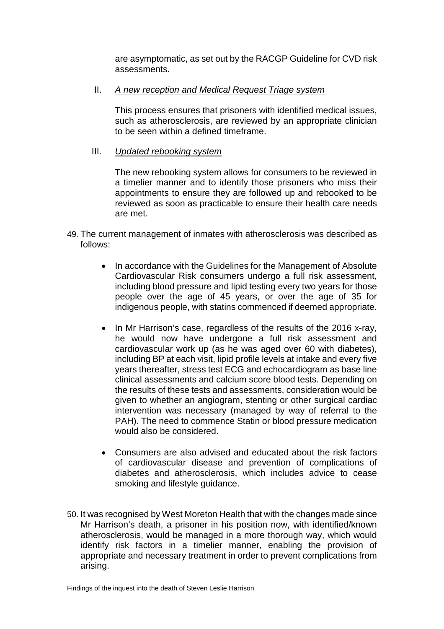are asymptomatic, as set out by the RACGP Guideline for CVD risk assessments.

#### II. *A new reception and Medical Request Triage system*

This process ensures that prisoners with identified medical issues, such as atherosclerosis, are reviewed by an appropriate clinician to be seen within a defined timeframe.

#### III. *Updated rebooking system*

The new rebooking system allows for consumers to be reviewed in a timelier manner and to identify those prisoners who miss their appointments to ensure they are followed up and rebooked to be reviewed as soon as practicable to ensure their health care needs are met.

- 49. The current management of inmates with atherosclerosis was described as follows:
	- In accordance with the Guidelines for the Management of Absolute Cardiovascular Risk consumers undergo a full risk assessment, including blood pressure and lipid testing every two years for those people over the age of 45 years, or over the age of 35 for indigenous people, with statins commenced if deemed appropriate.
	- In Mr Harrison's case, regardless of the results of the 2016 x-ray, he would now have undergone a full risk assessment and cardiovascular work up (as he was aged over 60 with diabetes), including BP at each visit, lipid profile levels at intake and every five years thereafter, stress test ECG and echocardiogram as base line clinical assessments and calcium score blood tests. Depending on the results of these tests and assessments, consideration would be given to whether an angiogram, stenting or other surgical cardiac intervention was necessary (managed by way of referral to the PAH). The need to commence Statin or blood pressure medication would also be considered.
	- Consumers are also advised and educated about the risk factors of cardiovascular disease and prevention of complications of diabetes and atherosclerosis, which includes advice to cease smoking and lifestyle guidance.
- 50. It was recognised by West Moreton Health that with the changes made since Mr Harrison's death, a prisoner in his position now, with identified/known atherosclerosis, would be managed in a more thorough way, which would identify risk factors in a timelier manner, enabling the provision of appropriate and necessary treatment in order to prevent complications from arising.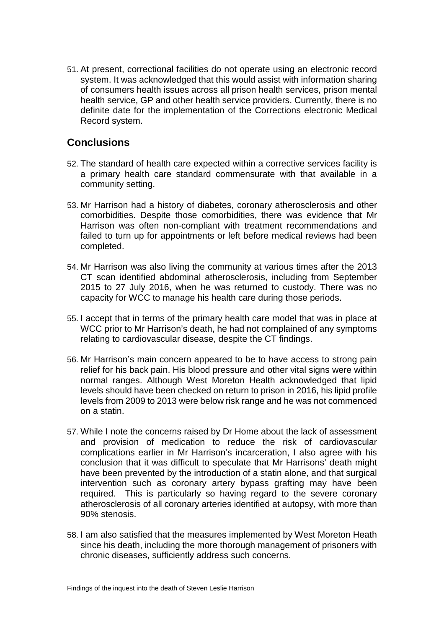51. At present, correctional facilities do not operate using an electronic record system. It was acknowledged that this would assist with information sharing of consumers health issues across all prison health services, prison mental health service, GP and other health service providers. Currently, there is no definite date for the implementation of the Corrections electronic Medical Record system.

## **Conclusions**

- 52. The standard of health care expected within a corrective services facility is a primary health care standard commensurate with that available in a community setting.
- 53. Mr Harrison had a history of diabetes, coronary atherosclerosis and other comorbidities. Despite those comorbidities, there was evidence that Mr Harrison was often non-compliant with treatment recommendations and failed to turn up for appointments or left before medical reviews had been completed.
- 54. Mr Harrison was also living the community at various times after the 2013 CT scan identified abdominal atherosclerosis, including from September 2015 to 27 July 2016, when he was returned to custody. There was no capacity for WCC to manage his health care during those periods.
- 55. I accept that in terms of the primary health care model that was in place at WCC prior to Mr Harrison's death, he had not complained of any symptoms relating to cardiovascular disease, despite the CT findings.
- 56. Mr Harrison's main concern appeared to be to have access to strong pain relief for his back pain. His blood pressure and other vital signs were within normal ranges. Although West Moreton Health acknowledged that lipid levels should have been checked on return to prison in 2016, his lipid profile levels from 2009 to 2013 were below risk range and he was not commenced on a statin.
- 57. While I note the concerns raised by Dr Home about the lack of assessment and provision of medication to reduce the risk of cardiovascular complications earlier in Mr Harrison's incarceration, I also agree with his conclusion that it was difficult to speculate that Mr Harrisons' death might have been prevented by the introduction of a statin alone, and that surgical intervention such as coronary artery bypass grafting may have been required. This is particularly so having regard to the severe coronary atherosclerosis of all coronary arteries identified at autopsy, with more than 90% stenosis.
- 58. I am also satisfied that the measures implemented by West Moreton Heath since his death, including the more thorough management of prisoners with chronic diseases, sufficiently address such concerns.